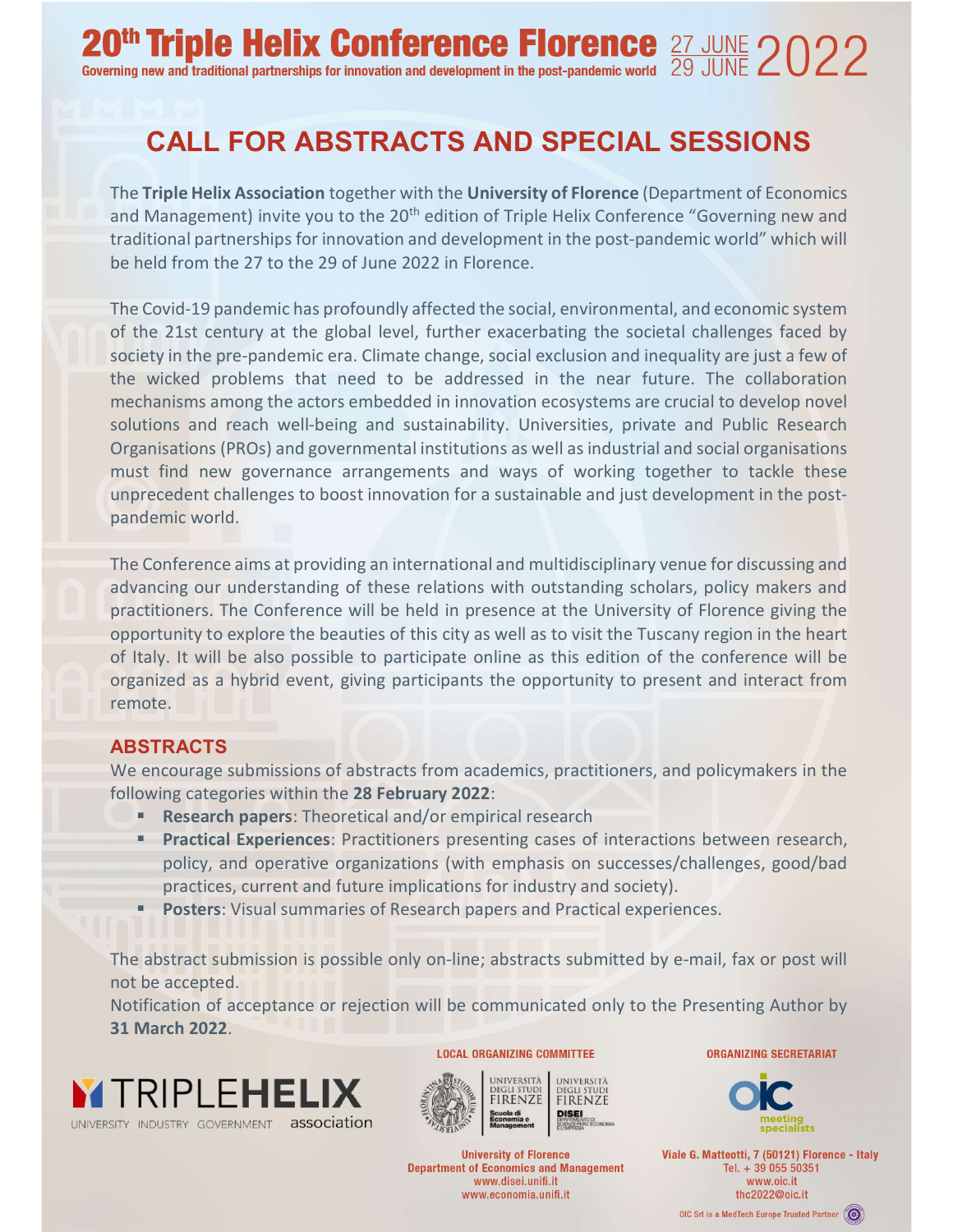# CALL FOR ABSTRACTS AND SPECIAL SESSIONS

The Triple Helix Association together with the University of Florence (Department of Economics and Management) invite you to the 20<sup>th</sup> edition of Triple Helix Conference "Governing new and traditional partnerships for innovation and development in the post-pandemic world" which will be held from the 27 to the 29 of June 2022 in Florence.

The Covid-19 pandemic has profoundly affected the social, environmental, and economic system of the 21st century at the global level, further exacerbating the societal challenges faced by society in the pre-pandemic era. Climate change, social exclusion and inequality are just a few of the wicked problems that need to be addressed in the near future. The collaboration mechanisms among the actors embedded in innovation ecosystems are crucial to develop novel solutions and reach well-being and sustainability. Universities, private and Public Research Organisations (PROs) and governmental institutions as well as industrial and social organisations must find new governance arrangements and ways of working together to tackle these unprecedent challenges to boost innovation for a sustainable and just development in the postpandemic world.

The Conference aims at providing an international and multidisciplinary venue for discussing and advancing our understanding of these relations with outstanding scholars, policy makers and practitioners. The Conference will be held in presence at the University of Florence giving the opportunity to explore the beauties of this city as well as to visit the Tuscany region in the heart of Italy. It will be also possible to participate online as this edition of the conference will be organized as a hybrid event, giving participants the opportunity to present and interact from remote.

# ABSTRACTS

We encourage submissions of abstracts from academics, practitioners, and policymakers in the following categories within the 28 February 2022:

- Research papers: Theoretical and/or empirical research
- Practical Experiences: Practitioners presenting cases of interactions between research, policy, and operative organizations (with emphasis on successes/challenges, good/bad practices, current and future implications for industry and society).
- Posters: Visual summaries of Research papers and Practical experiences.

The abstract submission is possible only on-line; abstracts submitted by e-mail, fax or post will not be accepted.

Notification of acceptance or rejection will be communicated only to the Presenting Author by 31 March 2022.





**University of Florence Department of Economics and Management** www.disei.unifi.it www.economia.unifi.it

**ORGANIZING SECRETARIAT** 



Viale G. Matteotti, 7 (50121) Florence - Italy Tel. + 39 055 50351 www.oic.it thc2022@oic.it

OIC Srl is a MedTech Europe Trusted Partner (S)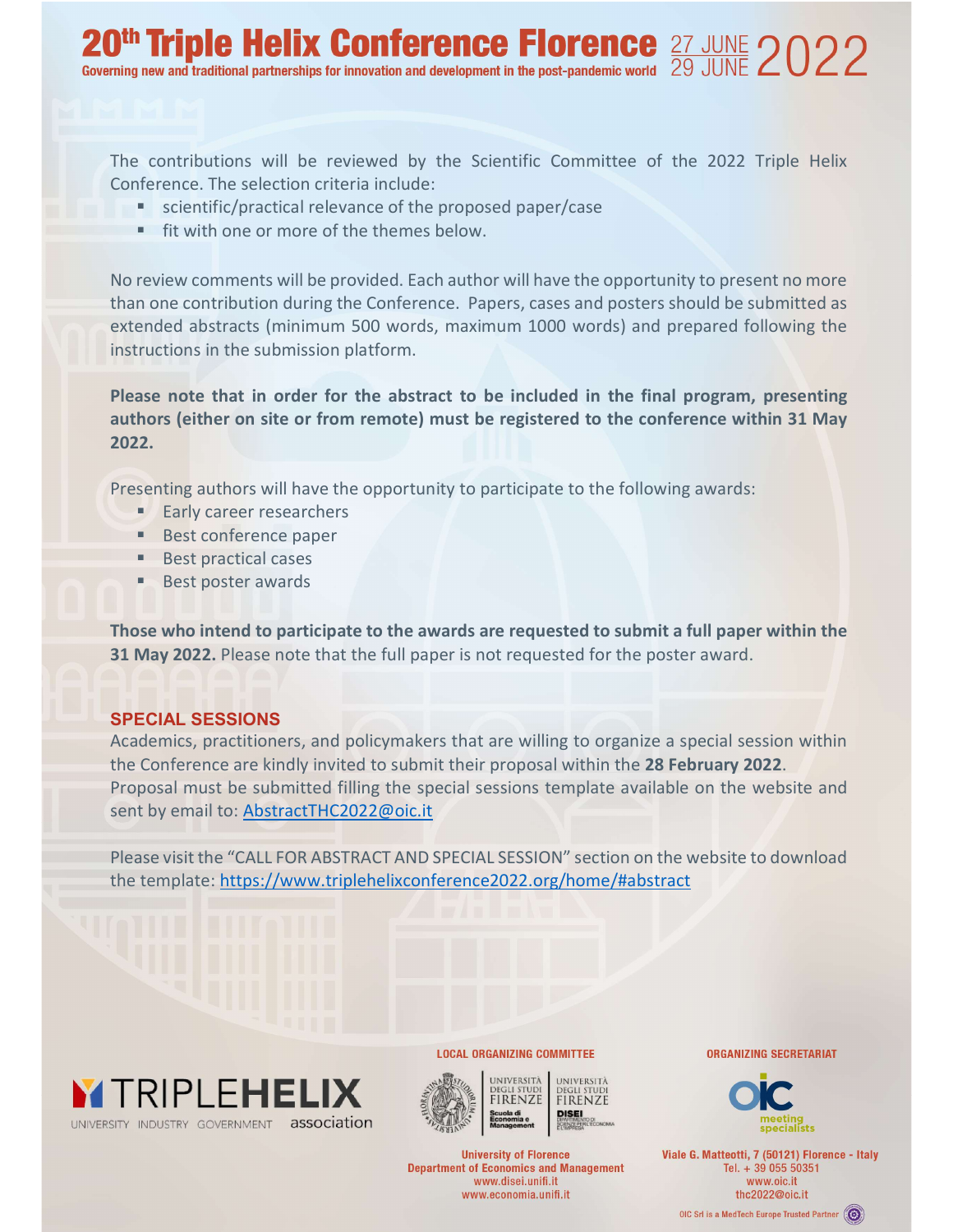The contributions will be reviewed by the Scientific Committee of the 2022 Triple Helix Conference. The selection criteria include:

- **EXEC** scientific/practical relevance of the proposed paper/case
- **fit with one or more of the themes below.**

No review comments will be provided. Each author will have the opportunity to present no more than one contribution during the Conference. Papers, cases and posters should be submitted as extended abstracts (minimum 500 words, maximum 1000 words) and prepared following the instructions in the submission platform.

Please note that in order for the abstract to be included in the final program, presenting authors (either on site or from remote) must be registered to the conference within 31 May 2022.

Presenting authors will have the opportunity to participate to the following awards:

- **Early career researchers**
- **Best conference paper**
- **Best practical cases**
- Best poster awards

Those who intend to participate to the awards are requested to submit a full paper within the 31 May 2022. Please note that the full paper is not requested for the poster award.

# SPECIAL SESSIONS

Academics, practitioners, and policymakers that are willing to organize a special session within the Conference are kindly invited to submit their proposal within the 28 February 2022. Proposal must be submitted filling the special sessions template available on the website and sent by email to: AbstractTHC2022@oic.it

Please visit the "CALL FOR ABSTRACT AND SPECIAL SESSION" section on the website to download the template: https://www.triplehelixconference2022.org/home/#abstract





**LOCAL ORGANIZING COMMITTEE** 

**University of Florence Department of Economics and Management** www.disei.unifi.it www.economia.unifi.it

**ORGANIZING SECRETARIAT** 



Viale G. Matteotti, 7 (50121) Florence - Italy Tel. + 39 055 50351 www.oic.it thc2022@oic.it

OIC Srl is a MedTech Europe Trusted Partner (O)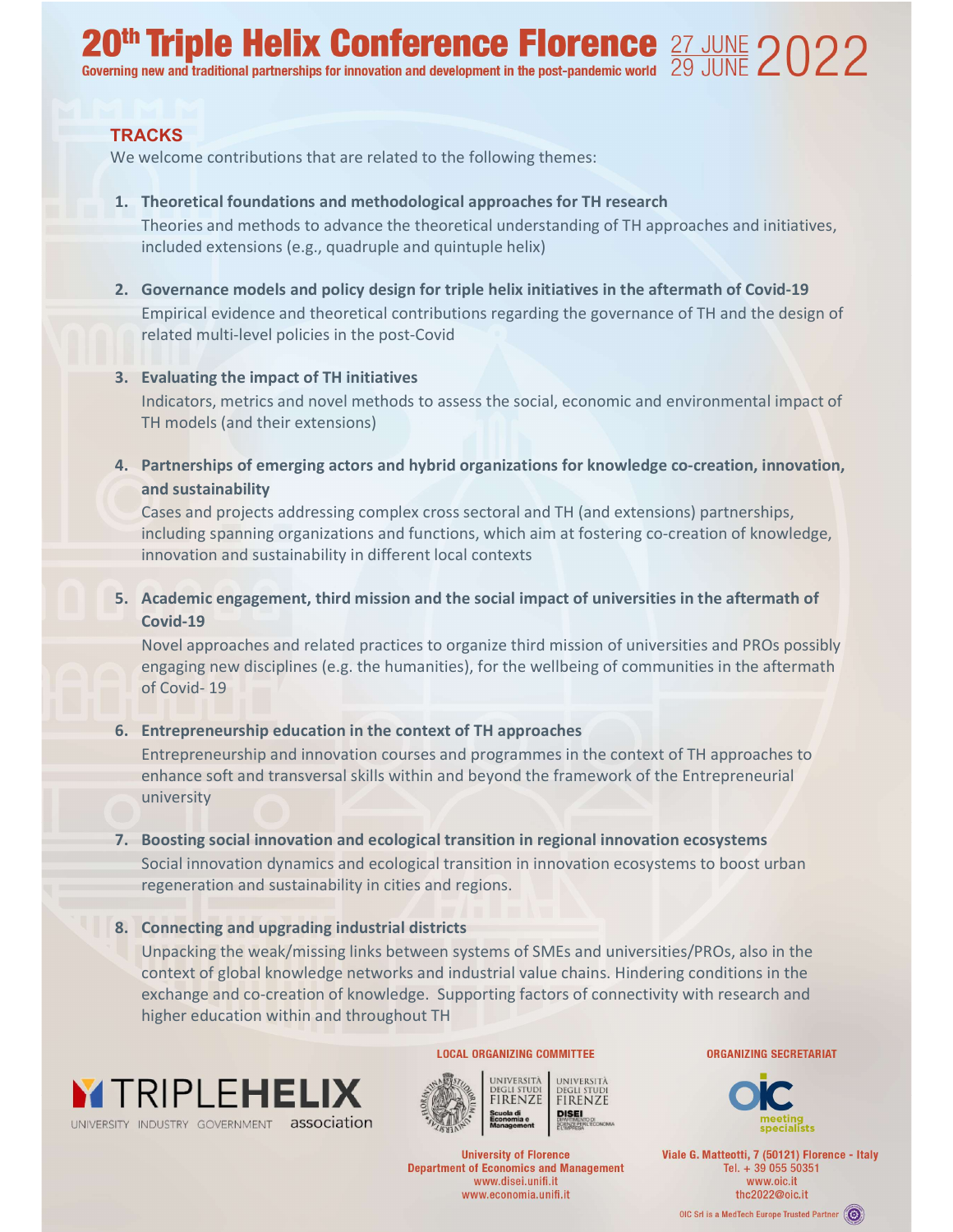# **20<sup>th</sup> Triple Helix Conference Florence** 27 JUNE 2022

#### **TRACKS**

We welcome contributions that are related to the following themes:

- 1. Theoretical foundations and methodological approaches for TH research Theories and methods to advance the theoretical understanding of TH approaches and initiatives, included extensions (e.g., quadruple and quintuple helix)
- 2. Governance models and policy design for triple helix initiatives in the aftermath of Covid-19 Empirical evidence and theoretical contributions regarding the governance of TH and the design of related multi-level policies in the post-Covid

#### 3. Evaluating the impact of TH initiatives

Indicators, metrics and novel methods to assess the social, economic and environmental impact of TH models (and their extensions)

4. Partnerships of emerging actors and hybrid organizations for knowledge co-creation, innovation, and sustainability

Cases and projects addressing complex cross sectoral and TH (and extensions) partnerships, including spanning organizations and functions, which aim at fostering co-creation of knowledge, innovation and sustainability in different local contexts

5. Academic engagement, third mission and the social impact of universities in the aftermath of Covid-19

Novel approaches and related practices to organize third mission of universities and PROs possibly engaging new disciplines (e.g. the humanities), for the wellbeing of communities in the aftermath of Covid- 19

#### 6. Entrepreneurship education in the context of TH approaches

Entrepreneurship and innovation courses and programmes in the context of TH approaches to enhance soft and transversal skills within and beyond the framework of the Entrepreneurial university

# 7. Boosting social innovation and ecological transition in regional innovation ecosystems Social innovation dynamics and ecological transition in innovation ecosystems to boost urban regeneration and sustainability in cities and regions.

#### 8. Connecting and upgrading industrial districts

Unpacking the weak/missing links between systems of SMEs and universities/PROs, also in the context of global knowledge networks and industrial value chains. Hindering conditions in the exchange and co-creation of knowledge. Supporting factors of connectivity with research and higher education within and throughout TH



**LOCAL ORGANIZING COMMITTEE** 



**University of Florence Department of Economics and Management** www.disei.unifi.it www.economia.unifi.it

**ORGANIZING SECRETARIAT** 



Viale G. Matteotti, 7 (50121) Florence - Italy Tel. + 39 055 50351 www.oic.it thc2022@oic.it

OIC Srl is a MedTech Europe Trusted Partner (O)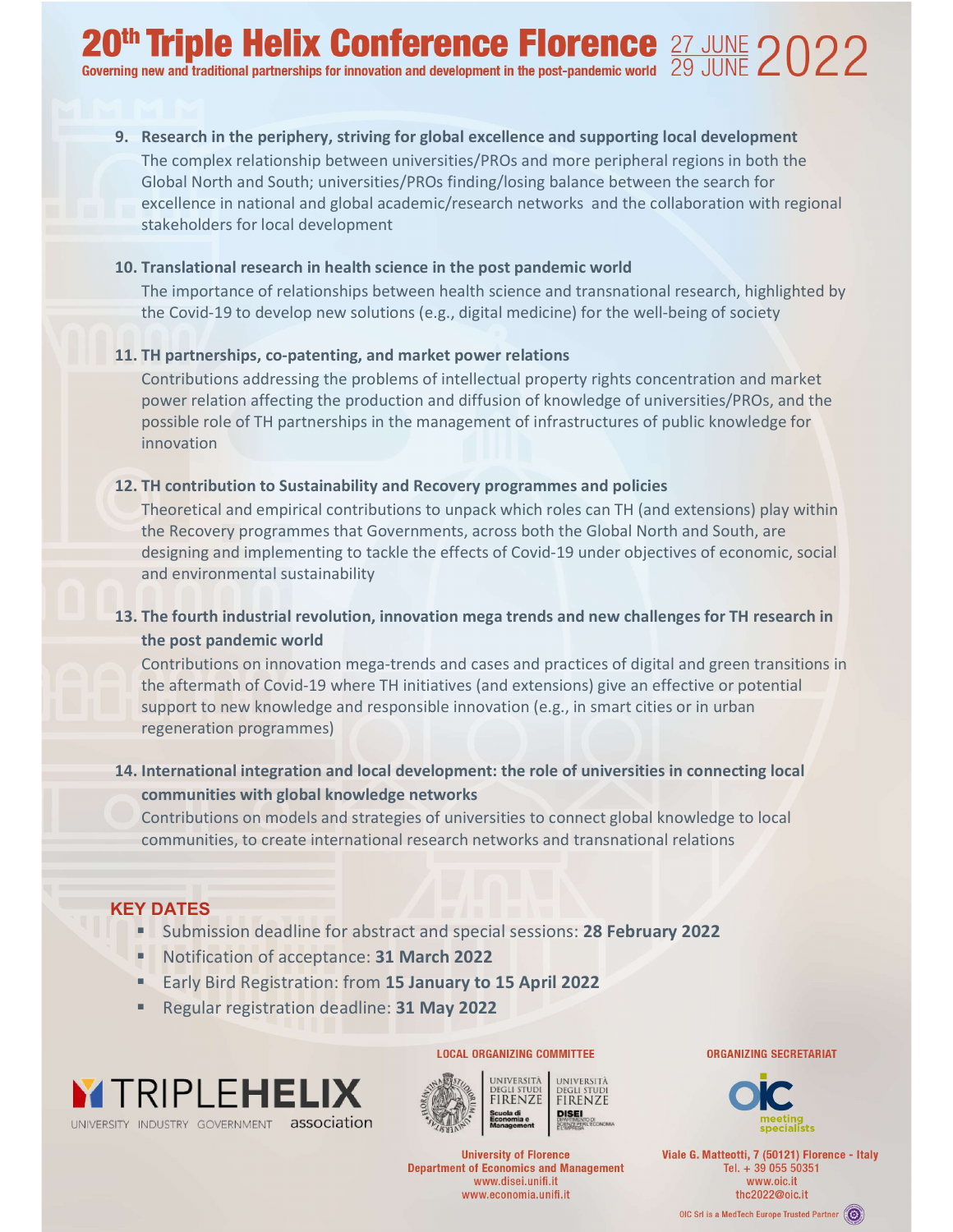9. Research in the periphery, striving for global excellence and supporting local development The complex relationship between universities/PROs and more peripheral regions in both the Global North and South; universities/PROs finding/losing balance between the search for excellence in national and global academic/research networks and the collaboration with regional stakeholders for local development

#### 10. Translational research in health science in the post pandemic world

The importance of relationships between health science and transnational research, highlighted by the Covid-19 to develop new solutions (e.g., digital medicine) for the well-being of society

## 11. TH partnerships, co-patenting, and market power relations

Contributions addressing the problems of intellectual property rights concentration and market power relation affecting the production and diffusion of knowledge of universities/PROs, and the possible role of TH partnerships in the management of infrastructures of public knowledge for innovation

#### 12. TH contribution to Sustainability and Recovery programmes and policies

Theoretical and empirical contributions to unpack which roles can TH (and extensions) play within the Recovery programmes that Governments, across both the Global North and South, are designing and implementing to tackle the effects of Covid-19 under objectives of economic, social and environmental sustainability

# 13. The fourth industrial revolution, innovation mega trends and new challenges for TH research in the post pandemic world

Contributions on innovation mega-trends and cases and practices of digital and green transitions in the aftermath of Covid-19 where TH initiatives (and extensions) give an effective or potential support to new knowledge and responsible innovation (e.g., in smart cities or in urban regeneration programmes)

# 14. International integration and local development: the role of universities in connecting local communities with global knowledge networks

Contributions on models and strategies of universities to connect global knowledge to local communities, to create international research networks and transnational relations

## KEY DATES

- **Submission deadline for abstract and special sessions: 28 February 2022**
- Notification of acceptance: 31 March 2022
- Early Bird Registration: from 15 January to 15 April 2022
- Regular registration deadline: 31 May 2022





**LOCAL ORGANIZING COMMITTEE** 

**University of Florence Department of Economics and Management** www.disei.unifi.it www.economia.unifi.it

**ORGANIZING SECRETARIAT** 



Viale G. Matteotti, 7 (50121) Florence - Italy Tel. + 39 055 50351 www.oic.it thc2022@oic.it

OIC Srl is a MedTech Europe Trusted Partner (O)